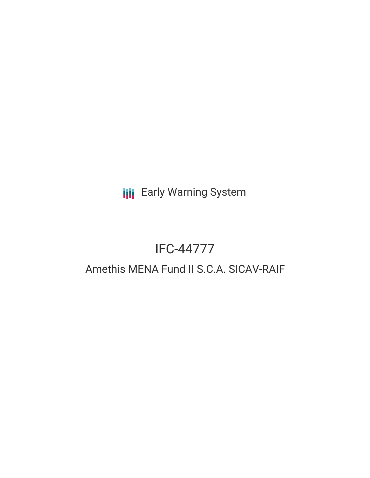**III** Early Warning System

# IFC-44777

## Amethis MENA Fund II S.C.A. SICAV-RAIF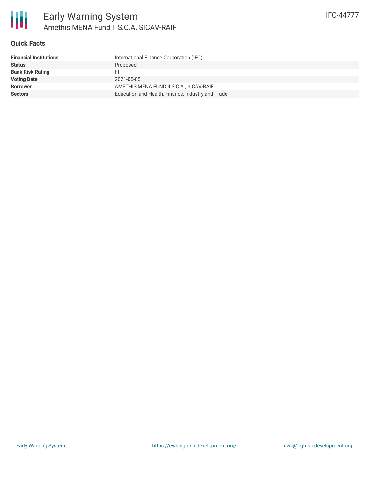

#### **Quick Facts**

| <b>Financial Institutions</b> | International Finance Corporation (IFC)           |
|-------------------------------|---------------------------------------------------|
| <b>Status</b>                 | Proposed                                          |
| <b>Bank Risk Rating</b>       | FI.                                               |
| <b>Voting Date</b>            | 2021-05-05                                        |
| <b>Borrower</b>               | AMETHIS MENA FUND II S.C.A., SICAV-RAIF           |
| <b>Sectors</b>                | Education and Health, Finance, Industry and Trade |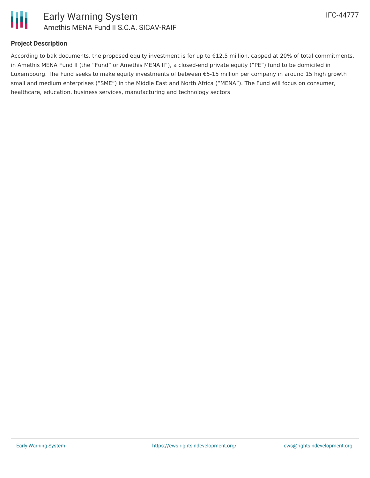

#### **Project Description**

According to bak documents, the proposed equity investment is for up to €12.5 million, capped at 20% of total commitments, in Amethis MENA Fund II (the "Fund" or Amethis MENA II"), a closed-end private equity ("PE") fund to be domiciled in Luxembourg. The Fund seeks to make equity investments of between €5-15 million per company in around 15 high growth small and medium enterprises ("SME") in the Middle East and North Africa ("MENA"). The Fund will focus on consumer, healthcare, education, business services, manufacturing and technology sectors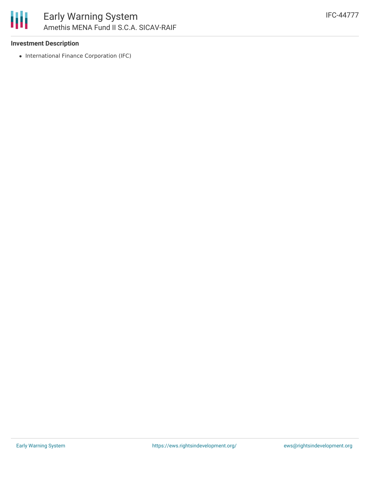

#### **Investment Description**

• International Finance Corporation (IFC)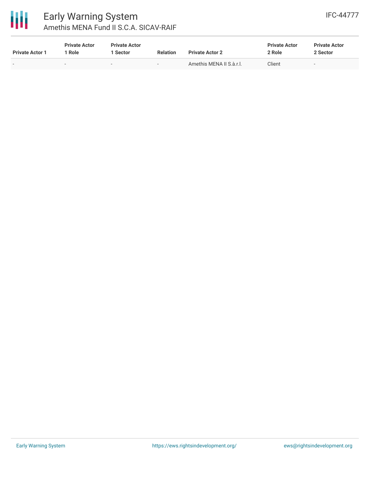

## Early Warning System Amethis MENA Fund II S.C.A. SICAV-RAIF

| <b>Private Actor 1</b> | <b>Private Actor</b><br>' Role | <b>Private Actor</b><br>l Sector | <b>Relation</b>          | <b>Private Actor 2</b>   | <b>Private Actor</b><br>2 Role | <b>Private Actor</b><br>2 Sector |
|------------------------|--------------------------------|----------------------------------|--------------------------|--------------------------|--------------------------------|----------------------------------|
|                        | $\sim$                         | $\sim$                           | $\overline{\phantom{a}}$ | Amethis MENA II S.à.r.l. | Client                         | $\sim$                           |